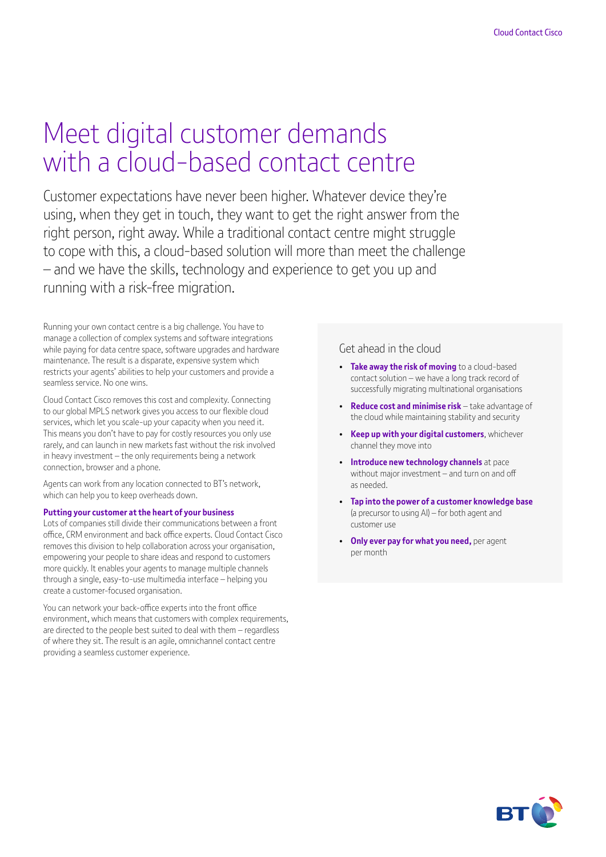# Meet digital customer demands with a cloud-based contact centre

Customer expectations have never been higher. Whatever device they're using, when they get in touch, they want to get the right answer from the right person, right away. While a traditional contact centre might struggle to cope with this, a cloud-based solution will more than meet the challenge – and we have the skills, technology and experience to get you up and running with a risk-free migration.

Running your own contact centre is a big challenge. You have to manage a collection of complex systems and software integrations while paying for data centre space, software upgrades and hardware maintenance. The result is a disparate, expensive system which restricts your agents' abilities to help your customers and provide a seamless service. No one wins.

Cloud Contact Cisco removes this cost and complexity. Connecting to our global MPLS network gives you access to our flexible cloud services, which let you scale-up your capacity when you need it. This means you don't have to pay for costly resources you only use rarely, and can launch in new markets fast without the risk involved in heavy investment – the only requirements being a network connection, browser and a phone.

Agents can work from any location connected to BT's network, which can help you to keep overheads down.

#### **Putting your customer at the heart of your business**

Lots of companies still divide their communications between a front office, CRM environment and back office experts. Cloud Contact Cisco removes this division to help collaboration across your organisation, empowering your people to share ideas and respond to customers more quickly. It enables your agents to manage multiple channels through a single, easy-to-use multimedia interface – helping you create a customer-focused organisation.

You can network your back-office experts into the front office environment, which means that customers with complex requirements, are directed to the people best suited to deal with them – regardless of where they sit. The result is an agile, omnichannel contact centre providing a seamless customer experience.

#### Get ahead in the cloud

- **Take away the risk of moving** to a cloud-based contact solution – we have a long track record of successfully migrating multinational organisations
- **Reduce cost and minimise risk** take advantage of the cloud while maintaining stability and security
- **Keep up with your digital customers**, whichever channel they move into
- **Introduce new technology channels** at pace without major investment – and turn on and off as needed.
- **Tap into the power of a customer knowledge base**  (a precursor to using AI) – for both agent and customer use
- **Only ever pay for what you need,** per agent per month